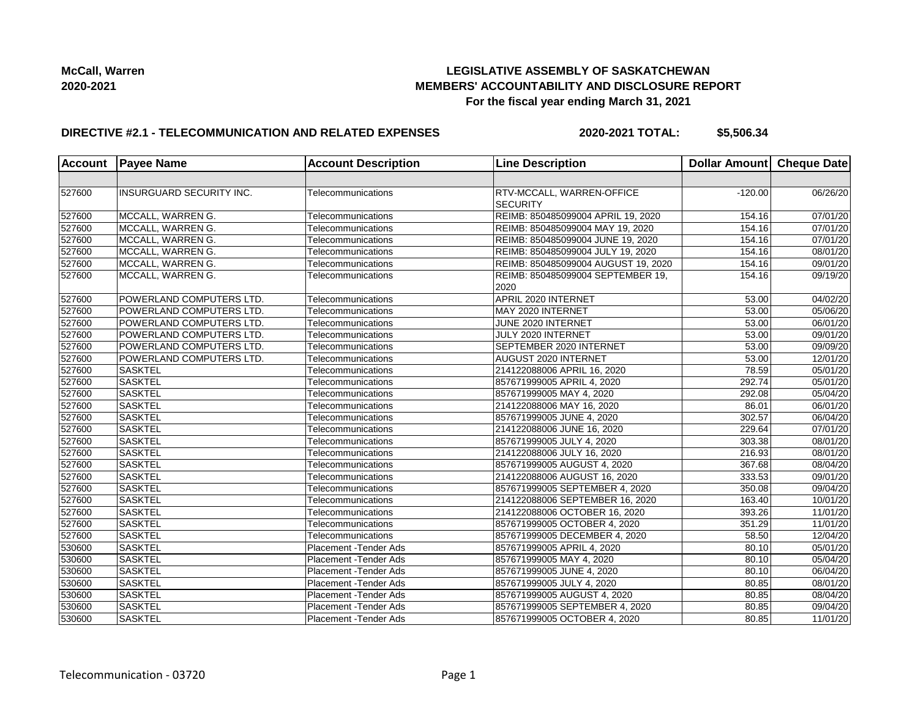

## **LEGISLATIVE ASSEMBLY OF SASKATCHEWAN MEMBERS' ACCOUNTABILITY AND DISCLOSURE REPORT For the fiscal year ending March 31, 2021**

### **DIRECTIVE #2.1 - TELECOMMUNICATION AND RELATED EXPENSES**

**2020-2021 TOTAL: \$5,506.34**

|        | <b>Account Payee Name</b>       | <b>Account Description</b> | <b>Line Description</b>             | Dollar Amount Cheque Date |                               |
|--------|---------------------------------|----------------------------|-------------------------------------|---------------------------|-------------------------------|
|        |                                 |                            |                                     |                           |                               |
| 527600 | <b>INSURGUARD SECURITY INC.</b> | Telecommunications         | RTV-MCCALL, WARREN-OFFICE           | $-120.00$                 | 06/26/20                      |
|        |                                 |                            | <b>SECURITY</b>                     |                           |                               |
| 527600 | MCCALL, WARREN G.               | Telecommunications         | REIMB: 850485099004 APRIL 19, 2020  | 154.16                    | 07/01/20                      |
| 527600 | MCCALL, WARREN G.               | Telecommunications         | REIMB: 850485099004 MAY 19, 2020    | 154.16                    | 07/01/20                      |
| 527600 | MCCALL, WARREN G.               | Telecommunications         | REIMB: 850485099004 JUNE 19, 2020   | 154.16                    | 07/01/20                      |
| 527600 | MCCALL, WARREN G.               | Telecommunications         | REIMB: 850485099004 JULY 19, 2020   | 154.16                    | 08/01/20                      |
| 527600 | MCCALL, WARREN G.               | Telecommunications         | REIMB: 850485099004 AUGUST 19, 2020 | 154.16                    | 09/01/20                      |
| 527600 | MCCALL, WARREN G.               | Telecommunications         | REIMB: 850485099004 SEPTEMBER 19,   | 154.16                    | $\overline{09}/19/20$         |
|        |                                 |                            | 2020                                |                           |                               |
| 527600 | POWERLAND COMPUTERS LTD.        | Telecommunications         | APRIL 2020 INTERNET                 | 53.00                     | $\frac{1}{04}{\sqrt{0}}$ 2/20 |
| 527600 | POWERLAND COMPUTERS LTD.        | Telecommunications         | MAY 2020 INTERNET                   | 53.00                     | 05/06/20                      |
| 527600 | POWERLAND COMPUTERS LTD.        | Telecommunications         | JUNE 2020 INTERNET                  | 53.00                     | 06/01/20                      |
| 527600 | POWERLAND COMPUTERS LTD.        | Telecommunications         | JULY 2020 INTERNET                  | 53.00                     | 09/01/20                      |
| 527600 | POWERLAND COMPUTERS LTD.        | Telecommunications         | <b>SEPTEMBER 2020 INTERNET</b>      | 53.00                     | 09/09/20                      |
| 527600 | POWERLAND COMPUTERS LTD.        | Telecommunications         | <b>AUGUST 2020 INTERNET</b>         | 53.00                     | 12/01/20                      |
| 527600 | <b>SASKTEL</b>                  | Telecommunications         | 214122088006 APRIL 16, 2020         | 78.59                     | 05/01/20                      |
| 527600 | <b>SASKTEL</b>                  | Telecommunications         | 857671999005 APRIL 4, 2020          | 292.74                    | 05/01/20                      |
| 527600 | <b>SASKTEL</b>                  | Telecommunications         | 857671999005 MAY 4, 2020            | 292.08                    | 05/04/20                      |
| 527600 | <b>SASKTEL</b>                  | Telecommunications         | 214122088006 MAY 16, 2020           | 86.01                     | $\overline{06/0}1/20$         |
| 527600 | <b>SASKTEL</b>                  | Telecommunications         | 857671999005 JUNE 4, 2020           | 302.57                    | 06/04/20                      |
| 527600 | <b>SASKTEL</b>                  | Telecommunications         | 214122088006 JUNE 16, 2020          | 229.64                    | $\overline{07/01/20}$         |
| 527600 | <b>SASKTEL</b>                  | Telecommunications         | 857671999005 JULY 4, 2020           | 303.38                    | 08/01/20                      |
| 527600 | <b>SASKTEL</b>                  | Telecommunications         | 214122088006 JULY 16, 2020          | 216.93                    | 08/01/20                      |
| 527600 | <b>SASKTEL</b>                  | Telecommunications         | 857671999005 AUGUST 4, 2020         | 367.68                    | 08/04/20                      |
| 527600 | <b>SASKTEL</b>                  | Telecommunications         | 214122088006 AUGUST 16, 2020        | 333.53                    | 09/01/20                      |
| 527600 | <b>SASKTEL</b>                  | Telecommunications         | 857671999005 SEPTEMBER 4, 2020      | 350.08                    | 09/04/20                      |
| 527600 | <b>SASKTEL</b>                  | Telecommunications         | 214122088006 SEPTEMBER 16, 2020     | 163.40                    | 10/01/20                      |
| 527600 | <b>SASKTEL</b>                  | Telecommunications         | 214122088006 OCTOBER 16, 2020       | 393.26                    | 11/01/20                      |
| 527600 | <b>SASKTEL</b>                  | Telecommunications         | 857671999005 OCTOBER 4, 2020        | 351.29                    | 11/01/20                      |
| 527600 | <b>SASKTEL</b>                  | Telecommunications         | 857671999005 DECEMBER 4, 2020       | 58.50                     | 12/04/20                      |
| 530600 | <b>SASKTEL</b>                  | Placement - Tender Ads     | 857671999005 APRIL 4, 2020          | 80.10                     | 05/01/20                      |
| 530600 | <b>SASKTEL</b>                  | Placement - Tender Ads     | 857671999005 MAY 4, 2020            | 80.10                     | 05/04/20                      |
| 530600 | <b>SASKTEL</b>                  | Placement - Tender Ads     | 857671999005 JUNE 4, 2020           | 80.10                     | 06/04/20                      |
| 530600 | <b>SASKTEL</b>                  | Placement - Tender Ads     | 857671999005 JULY 4, 2020           | 80.85                     | 08/01/20                      |
| 530600 | <b>SASKTEL</b>                  | Placement - Tender Ads     | 857671999005 AUGUST 4, 2020         | 80.85                     | 08/04/20                      |
| 530600 | <b>SASKTEL</b>                  | Placement - Tender Ads     | 857671999005 SEPTEMBER 4, 2020      | 80.85                     | 09/04/20                      |
| 530600 | <b>SASKTEL</b>                  | Placement - Tender Ads     | 857671999005 OCTOBER 4, 2020        | 80.85                     | 11/01/20                      |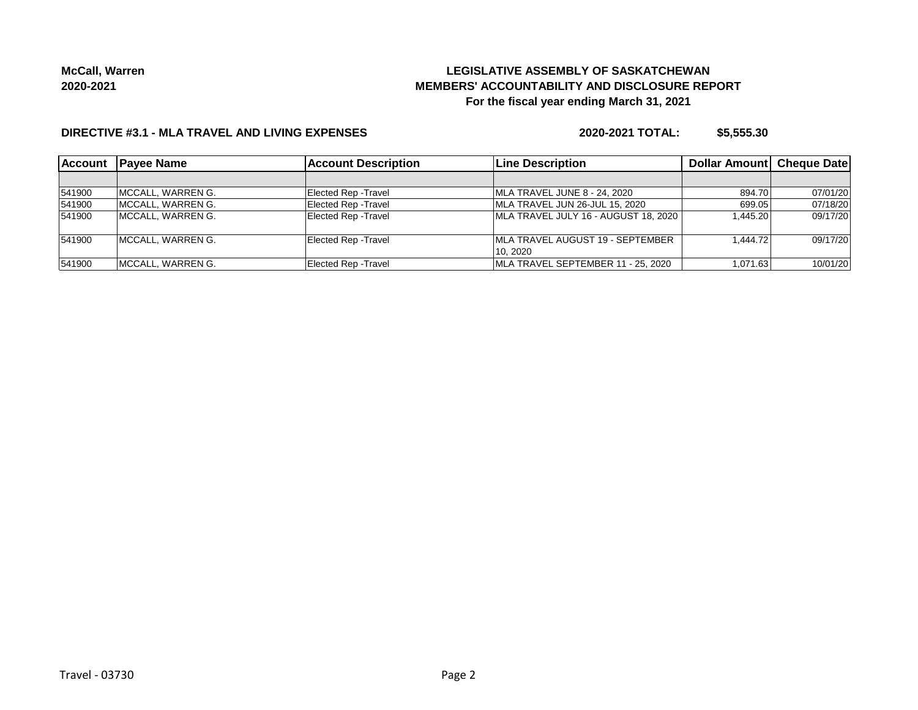# **LEGISLATIVE ASSEMBLY OF SASKATCHEWAN MEMBERS' ACCOUNTABILITY AND DISCLOSURE REPORT For the fiscal year ending March 31, 2021**

### **DIRECTIVE #3.1 - MLA TRAVEL AND LIVING EXPENSES**

**2020-2021 TOTAL: \$5,555.30**

| <b>Account</b> | <b>IPavee Name</b> | <b>Account Description</b>  | Line Description                         | <b>Dollar Amountl Cheque Date</b> |          |
|----------------|--------------------|-----------------------------|------------------------------------------|-----------------------------------|----------|
|                |                    |                             |                                          |                                   |          |
| 541900         | MCCALL, WARREN G.  | <b>Elected Rep - Travel</b> | MLA TRAVEL JUNE 8 - 24, 2020             | 894.70                            | 07/01/20 |
| 541900         | IMCCALL, WARREN G. | <b>Elected Rep - Travel</b> | MLA TRAVEL JUN 26-JUL 15, 2020           | 699.05                            | 07/18/20 |
| 541900         | IMCCALL, WARREN G. | <b>Elected Rep - Travel</b> | MLA TRAVEL JULY 16 - AUGUST 18, 2020     | 1.445.20                          | 09/17/20 |
| 541900         | MCCALL, WARREN G.  | <b>Elected Rep - Travel</b> | <b>IMLA TRAVEL AUGUST 19 - SEPTEMBER</b> | 1.444.72                          | 09/17/20 |
|                |                    |                             | 10.2020                                  |                                   |          |
| 541900         | MCCALL, WARREN G.  | <b>Elected Rep - Travel</b> | MLA TRAVEL SEPTEMBER 11 - 25, 2020       | 1,071.63                          | 10/01/20 |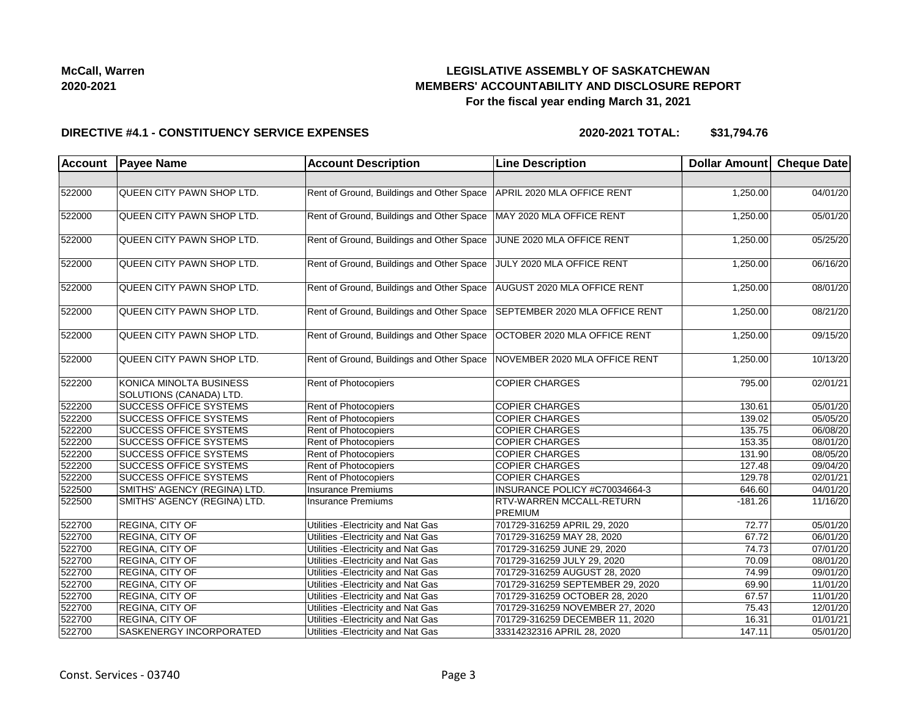## **LEGISLATIVE ASSEMBLY OF SASKATCHEWAN MEMBERS' ACCOUNTABILITY AND DISCLOSURE REPORT For the fiscal year ending March 31, 2021**

#### **DIRECTIVE #4.1 - CONSTITUENCY SERVICE EXPENSES**

**2020-2021 TOTAL: \$31,794.76**

| Account | <b>Payee Name</b>                                  | <b>Account Description</b>                | <b>Line Description</b>                           | Dollar Amount Cheque Date |          |
|---------|----------------------------------------------------|-------------------------------------------|---------------------------------------------------|---------------------------|----------|
|         |                                                    |                                           |                                                   |                           |          |
| 522000  | QUEEN CITY PAWN SHOP LTD.                          | Rent of Ground, Buildings and Other Space | APRIL 2020 MLA OFFICE RENT                        | 1,250.00                  | 04/01/20 |
| 522000  | QUEEN CITY PAWN SHOP LTD.                          | Rent of Ground, Buildings and Other Space | MAY 2020 MLA OFFICE RENT                          | 1,250.00                  | 05/01/20 |
| 522000  | QUEEN CITY PAWN SHOP LTD.                          | Rent of Ground, Buildings and Other Space | JUNE 2020 MLA OFFICE RENT                         | 1,250.00                  | 05/25/20 |
| 522000  | QUEEN CITY PAWN SHOP LTD.                          | Rent of Ground, Buildings and Other Space | JULY 2020 MLA OFFICE RENT                         | 1,250.00                  | 06/16/20 |
| 522000  | QUEEN CITY PAWN SHOP LTD.                          | Rent of Ground, Buildings and Other Space | AUGUST 2020 MLA OFFICE RENT                       | 1,250.00                  | 08/01/20 |
| 522000  | QUEEN CITY PAWN SHOP LTD.                          | Rent of Ground, Buildings and Other Space | SEPTEMBER 2020 MLA OFFICE RENT                    | 1,250.00                  | 08/21/20 |
| 522000  | QUEEN CITY PAWN SHOP LTD.                          | Rent of Ground, Buildings and Other Space | OCTOBER 2020 MLA OFFICE RENT                      | 1,250.00                  | 09/15/20 |
| 522000  | QUEEN CITY PAWN SHOP LTD.                          | Rent of Ground, Buildings and Other Space | NOVEMBER 2020 MLA OFFICE RENT                     | 1,250.00                  | 10/13/20 |
| 522200  | KONICA MINOLTA BUSINESS<br>SOLUTIONS (CANADA) LTD. | Rent of Photocopiers                      | <b>COPIER CHARGES</b>                             | 795.00                    | 02/01/21 |
| 522200  | <b>SUCCESS OFFICE SYSTEMS</b>                      | <b>Rent of Photocopiers</b>               | <b>COPIER CHARGES</b>                             | 130.61                    | 05/01/20 |
| 522200  | <b>SUCCESS OFFICE SYSTEMS</b>                      | <b>Rent of Photocopiers</b>               | <b>COPIER CHARGES</b>                             | 139.02                    | 05/05/20 |
| 522200  | <b>SUCCESS OFFICE SYSTEMS</b>                      | <b>Rent of Photocopiers</b>               | <b>COPIER CHARGES</b>                             | 135.75                    | 06/08/20 |
| 522200  | <b>SUCCESS OFFICE SYSTEMS</b>                      | Rent of Photocopiers                      | <b>COPIER CHARGES</b>                             | 153.35                    | 08/01/20 |
| 522200  | <b>SUCCESS OFFICE SYSTEMS</b>                      | Rent of Photocopiers                      | <b>COPIER CHARGES</b>                             | 131.90                    | 08/05/20 |
| 522200  | <b>SUCCESS OFFICE SYSTEMS</b>                      | Rent of Photocopiers                      | <b>COPIER CHARGES</b>                             | 127.48                    | 09/04/20 |
| 522200  | <b>SUCCESS OFFICE SYSTEMS</b>                      | Rent of Photocopiers                      | <b>COPIER CHARGES</b>                             | 129.78                    | 02/01/21 |
| 522500  | SMITHS' AGENCY (REGINA) LTD.                       | Insurance Premiums                        | INSURANCE POLICY #C70034664-3                     | 646.60                    | 04/01/20 |
| 522500  | SMITHS' AGENCY (REGINA) LTD.                       | Insurance Premiums                        | <b>RTV-WARREN MCCALL-RETURN</b><br><b>PREMIUM</b> | $-181.26$                 | 11/16/20 |
| 522700  | <b>REGINA, CITY OF</b>                             | Utilities - Electricity and Nat Gas       | 701729-316259 APRIL 29, 2020                      | 72.77                     | 05/01/20 |
| 522700  | <b>REGINA, CITY OF</b>                             | Utilities - Electricity and Nat Gas       | 701729-316259 MAY 28, 2020                        | 67.72                     | 06/01/20 |
| 522700  | <b>REGINA, CITY OF</b>                             | Utilities - Electricity and Nat Gas       | 701729-316259 JUNE 29, 2020                       | 74.73                     | 07/01/20 |
| 522700  | <b>REGINA, CITY OF</b>                             | Utilities - Electricity and Nat Gas       | 701729-316259 JULY 29, 2020                       | 70.09                     | 08/01/20 |
| 522700  | <b>REGINA, CITY OF</b>                             | Utilities - Electricity and Nat Gas       | 701729-316259 AUGUST 28, 2020                     | 74.99                     | 09/01/20 |
| 522700  | <b>REGINA, CITY OF</b>                             | Utilities - Electricity and Nat Gas       | 701729-316259 SEPTEMBER 29, 2020                  | 69.90                     | 11/01/20 |
| 522700  | <b>REGINA, CITY OF</b>                             | Utilities - Electricity and Nat Gas       | 701729-316259 OCTOBER 28, 2020                    | 67.57                     | 11/01/20 |
| 522700  | <b>REGINA, CITY OF</b>                             | Utilities - Electricity and Nat Gas       | 701729-316259 NOVEMBER 27, 2020                   | 75.43                     | 12/01/20 |
| 522700  | <b>REGINA, CITY OF</b>                             | Utilities - Electricity and Nat Gas       | 701729-316259 DECEMBER 11, 2020                   | 16.31                     | 01/01/21 |
| 522700  | <b>SASKENERGY INCORPORATED</b>                     | Utilities - Electricity and Nat Gas       | 33314232316 APRIL 28, 2020                        | 147.11                    | 05/01/20 |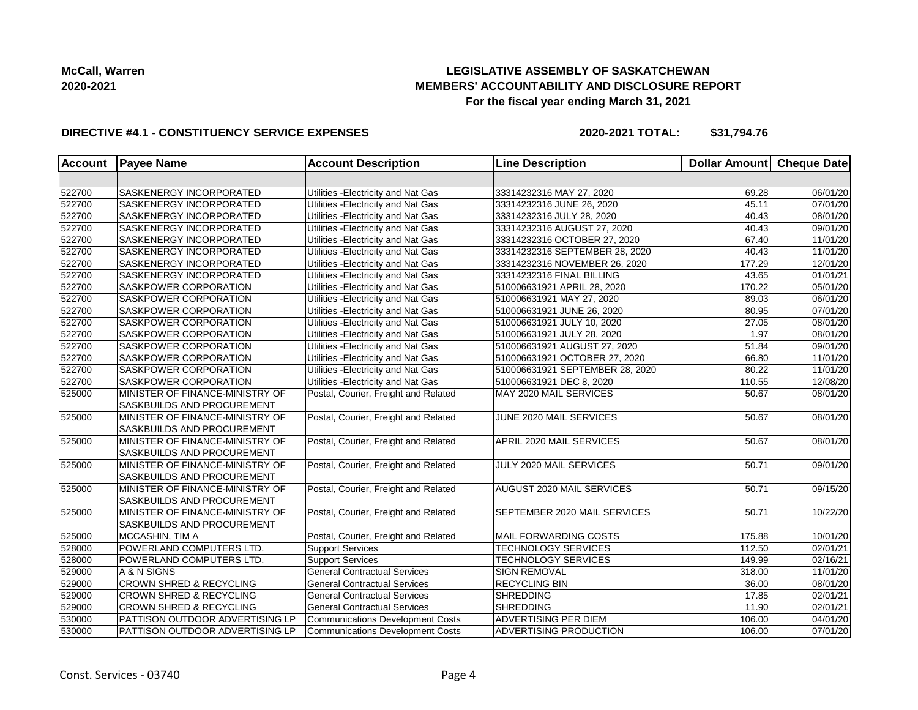## **LEGISLATIVE ASSEMBLY OF SASKATCHEWAN MEMBERS' ACCOUNTABILITY AND DISCLOSURE REPORT For the fiscal year ending March 31, 2021**

## **DIRECTIVE #4.1 - CONSTITUENCY SERVICE EXPENSES**

**2020-2021 TOTAL: \$31,794.76**

| <b>Account</b> | <b>Payee Name</b>                  | <b>Account Description</b>              | <b>Line Description</b>             | Dollar Amount Cheque Date |          |
|----------------|------------------------------------|-----------------------------------------|-------------------------------------|---------------------------|----------|
|                |                                    |                                         |                                     |                           |          |
| 522700         | <b>SASKENERGY INCORPORATED</b>     | Utilities - Electricity and Nat Gas     | 33314232316 MAY 27, 2020            | 69.28                     | 06/01/20 |
| 522700         | <b>SASKENERGY INCORPORATED</b>     | Utilities - Electricity and Nat Gas     | 33314232316 JUNE 26, 2020           | 45.11                     | 07/01/20 |
| 522700         | <b>SASKENERGY INCORPORATED</b>     | Utilities - Electricity and Nat Gas     | 33314232316 JULY 28, 2020           | 40.43                     | 08/01/20 |
| 522700         | <b>SASKENERGY INCORPORATED</b>     | Utilities - Electricity and Nat Gas     | 33314232316 AUGUST 27, 2020         | 40.43                     | 09/01/20 |
| 522700         | <b>SASKENERGY INCORPORATED</b>     | Utilities - Electricity and Nat Gas     | 33314232316 OCTOBER 27, 2020        | 67.40                     | 11/01/20 |
| 522700         | <b>SASKENERGY INCORPORATED</b>     | Utilities - Electricity and Nat Gas     | 33314232316 SEPTEMBER 28, 2020      | 40.43                     | 11/01/20 |
| 522700         | SASKENERGY INCORPORATED            | Utilities - Electricity and Nat Gas     | 33314232316 NOVEMBER 26, 2020       | 177.29                    | 12/01/20 |
| 522700         | <b>SASKENERGY INCORPORATED</b>     | Utilities - Electricity and Nat Gas     | 33314232316 FINAL BILLING           | 43.65                     | 01/01/21 |
| 522700         | <b>SASKPOWER CORPORATION</b>       | Utilities - Electricity and Nat Gas     | 510006631921 APRIL 28, 2020         | 170.22                    | 05/01/20 |
| 522700         | <b>SASKPOWER CORPORATION</b>       | Utilities - Electricity and Nat Gas     | 510006631921 MAY 27, 2020           | 89.03                     | 06/01/20 |
| 522700         | <b>SASKPOWER CORPORATION</b>       | Utilities - Electricity and Nat Gas     | 510006631921 JUNE 26, 2020          | 80.95                     | 07/01/20 |
| 522700         | SASKPOWER CORPORATION              | Utilities - Electricity and Nat Gas     | 510006631921 JULY 10, 2020          | 27.05                     | 08/01/20 |
| 522700         | SASKPOWER CORPORATION              | Utilities - Electricity and Nat Gas     | 510006631921 JULY 28, 2020          | 1.97                      | 08/01/20 |
| 522700         | <b>SASKPOWER CORPORATION</b>       | Utilities - Electricity and Nat Gas     | 510006631921 AUGUST 27, 2020        | 51.84                     | 09/01/20 |
| 522700         | <b>SASKPOWER CORPORATION</b>       | Utilities - Electricity and Nat Gas     | 510006631921 OCTOBER 27, 2020       | 66.80                     | 11/01/20 |
| 522700         | <b>SASKPOWER CORPORATION</b>       | Utilities - Electricity and Nat Gas     | 510006631921 SEPTEMBER 28, 2020     | 80.22                     | 11/01/20 |
| 522700         | <b>SASKPOWER CORPORATION</b>       | Utilities - Electricity and Nat Gas     | 510006631921 DEC 8, 2020            | 110.55                    | 12/08/20 |
| 525000         | MINISTER OF FINANCE-MINISTRY OF    | Postal, Courier, Freight and Related    | MAY 2020 MAIL SERVICES              | 50.67                     | 08/01/20 |
|                | SASKBUILDS AND PROCUREMENT         |                                         |                                     |                           |          |
| 525000         | MINISTER OF FINANCE-MINISTRY OF    | Postal, Courier, Freight and Related    | JUNE 2020 MAIL SERVICES             | 50.67                     | 08/01/20 |
|                | <b>SASKBUILDS AND PROCUREMENT</b>  |                                         |                                     |                           |          |
| 525000         | MINISTER OF FINANCE-MINISTRY OF    | Postal, Courier, Freight and Related    | APRIL 2020 MAIL SERVICES            | 50.67                     | 08/01/20 |
|                | <b>SASKBUILDS AND PROCUREMENT</b>  |                                         |                                     |                           |          |
| 525000         | MINISTER OF FINANCE-MINISTRY OF    | Postal, Courier, Freight and Related    | JULY 2020 MAIL SERVICES             | 50.71                     | 09/01/20 |
|                | <b>SASKBUILDS AND PROCUREMENT</b>  |                                         |                                     |                           |          |
| 525000         | MINISTER OF FINANCE-MINISTRY OF    | Postal, Courier, Freight and Related    | AUGUST 2020 MAIL SERVICES           | 50.71                     | 09/15/20 |
|                | <b>SASKBUILDS AND PROCUREMENT</b>  |                                         |                                     |                           |          |
| 525000         | MINISTER OF FINANCE-MINISTRY OF    | Postal, Courier, Freight and Related    | <b>SEPTEMBER 2020 MAIL SERVICES</b> | 50.71                     | 10/22/20 |
|                | <b>SASKBUILDS AND PROCUREMENT</b>  |                                         |                                     |                           |          |
| 525000         | MCCASHIN, TIM A                    | Postal, Courier, Freight and Related    | MAIL FORWARDING COSTS               | 175.88                    | 10/01/20 |
| 528000         | POWERLAND COMPUTERS LTD.           | <b>Support Services</b>                 | TECHNOLOGY SERVICES                 | 112.50                    | 02/01/21 |
| 528000         | POWERLAND COMPUTERS LTD.           | <b>Support Services</b>                 | TECHNOLOGY SERVICES                 | 149.99                    | 02/16/21 |
| 529000         | A & N SIGNS                        | <b>General Contractual Services</b>     | <b>SIGN REMOVAL</b>                 | 318.00                    | 11/01/20 |
| 529000         | <b>CROWN SHRED &amp; RECYCLING</b> | <b>General Contractual Services</b>     | <b>RECYCLING BIN</b>                | 36.00                     | 08/01/20 |
| 529000         | <b>CROWN SHRED &amp; RECYCLING</b> | <b>General Contractual Services</b>     | <b>SHREDDING</b>                    | 17.85                     | 02/01/21 |
| 529000         | <b>CROWN SHRED &amp; RECYCLING</b> | <b>General Contractual Services</b>     | <b>SHREDDING</b>                    | 11.90                     | 02/01/21 |
| 530000         | PATTISON OUTDOOR ADVERTISING LP    | Communications Development Costs        | ADVERTISING PER DIEM                | 106.00                    | 04/01/20 |
| 530000         | PATTISON OUTDOOR ADVERTISING LP    | <b>Communications Development Costs</b> | <b>ADVERTISING PRODUCTION</b>       | 106.00                    | 07/01/20 |
|                |                                    |                                         |                                     |                           |          |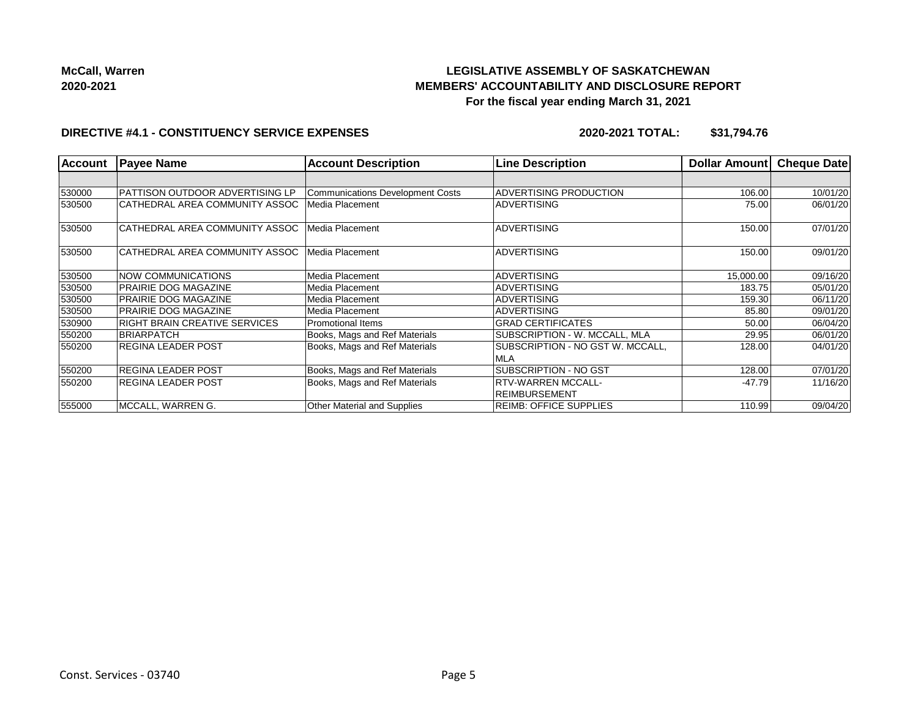

# **LEGISLATIVE ASSEMBLY OF SASKATCHEWAN MEMBERS' ACCOUNTABILITY AND DISCLOSURE REPORT For the fiscal year ending March 31, 2021**

#### **DIRECTIVE #4.1 - CONSTITUENCY SERVICE EXPENSES**

**2020-2021 TOTAL: \$31,794.76**

| <b>Account</b> | <b>Payee Name</b>                    | <b>Account Description</b>              | <b>Line Description</b>          | <b>Dollar Amountl</b> | Cheque Date |
|----------------|--------------------------------------|-----------------------------------------|----------------------------------|-----------------------|-------------|
|                |                                      |                                         |                                  |                       |             |
| 530000         | PATTISON OUTDOOR ADVERTISING LP      | <b>Communications Development Costs</b> | ADVERTISING PRODUCTION           | 106.00                | 10/01/20    |
| 530500         | CATHEDRAL AREA COMMUNITY ASSOC       | Media Placement                         | <b>ADVERTISING</b>               | 75.00                 | 06/01/20    |
| 530500         | CATHEDRAL AREA COMMUNITY ASSOC       | Media Placement                         | <b>ADVERTISING</b>               | 150.00                | 07/01/20    |
| 530500         | CATHEDRAL AREA COMMUNITY ASSOC       | Media Placement                         | <b>ADVERTISING</b>               | 150.00                | 09/01/20    |
| 530500         | NOW COMMUNICATIONS                   | Media Placement                         | <b>ADVERTISING</b>               | 15,000.00             | 09/16/20    |
| 530500         | <b>PRAIRIE DOG MAGAZINE</b>          | Media Placement                         | <b>ADVERTISING</b>               | 183.75                | 05/01/20    |
| 530500         | <b>PRAIRIE DOG MAGAZINE</b>          | Media Placement                         | <b>ADVERTISING</b>               | 159.30                | 06/11/20    |
| 530500         | <b>PRAIRIE DOG MAGAZINE</b>          | Media Placement                         | <b>ADVERTISING</b>               | 85.80                 | 09/01/20    |
| 530900         | <b>RIGHT BRAIN CREATIVE SERVICES</b> | Promotional Items                       | <b>GRAD CERTIFICATES</b>         | 50.00                 | 06/04/20    |
| 550200         | <b>BRIARPATCH</b>                    | Books, Mags and Ref Materials           | SUBSCRIPTION - W. MCCALL, MLA    | 29.95                 | 06/01/20    |
| 550200         | <b>REGINA LEADER POST</b>            | Books, Mags and Ref Materials           | SUBSCRIPTION - NO GST W. MCCALL, | 128.00                | 04/01/20    |
|                |                                      |                                         | <b>MLA</b>                       |                       |             |
| 550200         | <b>REGINA LEADER POST</b>            | Books, Mags and Ref Materials           | <b>SUBSCRIPTION - NO GST</b>     | 128.00                | 07/01/20    |
| 550200         | <b>REGINA LEADER POST</b>            | Books, Mags and Ref Materials           | <b>RTV-WARREN MCCALL-</b>        | $-47.79$              | 11/16/20    |
|                |                                      |                                         | REIMBURSEMENT                    |                       |             |
| 555000         | MCCALL, WARREN G.                    | Other Material and Supplies             | <b>REIMB: OFFICE SUPPLIES</b>    | 110.99                | 09/04/20    |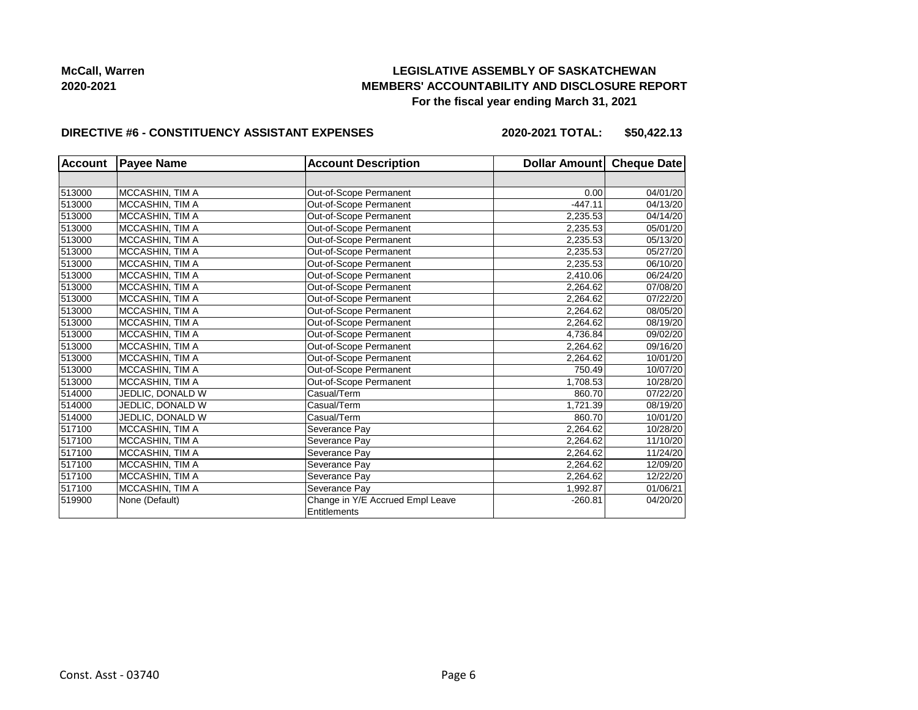## **LEGISLATIVE ASSEMBLY OF SASKATCHEWAN MEMBERS' ACCOUNTABILITY AND DISCLOSURE REPORT For the fiscal year ending March 31, 2021**

#### **DIRECTIVE #6 - CONSTITUENCY ASSISTANT EXPENSES**

**2020-2021 TOTAL: \$50,422.13**

| <b>Account</b> | <b>Payee Name</b> | <b>Account Description</b>       | Dollar Amount | <b>Cheque Date</b> |
|----------------|-------------------|----------------------------------|---------------|--------------------|
|                |                   |                                  |               |                    |
| 513000         | MCCASHIN, TIM A   | Out-of-Scope Permanent           | 0.00          | 04/01/20           |
| 513000         | MCCASHIN, TIM A   | Out-of-Scope Permanent           | $-447.11$     | 04/13/20           |
| 513000         | MCCASHIN, TIM A   | Out-of-Scope Permanent           | 2,235.53      | 04/14/20           |
| 513000         | MCCASHIN, TIM A   | Out-of-Scope Permanent           | 2,235.53      | 05/01/20           |
| 513000         | MCCASHIN, TIM A   | Out-of-Scope Permanent           | 2,235.53      | 05/13/20           |
| 513000         | MCCASHIN, TIM A   | Out-of-Scope Permanent           | 2,235.53      | 05/27/20           |
| 513000         | MCCASHIN, TIM A   | Out-of-Scope Permanent           | 2,235.53      | 06/10/20           |
| 513000         | MCCASHIN, TIM A   | Out-of-Scope Permanent           | 2,410.06      | 06/24/20           |
| 513000         | MCCASHIN, TIM A   | Out-of-Scope Permanent           | 2,264.62      | 07/08/20           |
| 513000         | MCCASHIN, TIM A   | Out-of-Scope Permanent           | 2,264.62      | 07/22/20           |
| 513000         | MCCASHIN, TIM A   | Out-of-Scope Permanent           | 2.264.62      | 08/05/20           |
| 513000         | MCCASHIN, TIM A   | Out-of-Scope Permanent           | 2,264.62      | 08/19/20           |
| 513000         | MCCASHIN, TIM A   | Out-of-Scope Permanent           | 4,736.84      | 09/02/20           |
| 513000         | MCCASHIN, TIM A   | Out-of-Scope Permanent           | 2,264.62      | 09/16/20           |
| 513000         | MCCASHIN, TIM A   | Out-of-Scope Permanent           | 2,264.62      | 10/01/20           |
| 513000         | MCCASHIN, TIM A   | Out-of-Scope Permanent           | 750.49        | 10/07/20           |
| 513000         | MCCASHIN, TIM A   | Out-of-Scope Permanent           | 1,708.53      | 10/28/20           |
| 514000         | JEDLIC, DONALD W  | Casual/Term                      | 860.70        | 07/22/20           |
| 514000         | JEDLIC, DONALD W  | Casual/Term                      | 1,721.39      | 08/19/20           |
| 514000         | JEDLIC, DONALD W  | Casual/Term                      | 860.70        | 10/01/20           |
| 517100         | MCCASHIN, TIM A   | Severance Pay                    | 2,264.62      | 10/28/20           |
| 517100         | MCCASHIN, TIM A   | Severance Pay                    | 2,264.62      | 11/10/20           |
| 517100         | MCCASHIN, TIM A   | Severance Pay                    | 2,264.62      | 11/24/20           |
| 517100         | MCCASHIN, TIM A   | Severance Pay                    | 2,264.62      | 12/09/20           |
| 517100         | MCCASHIN, TIM A   | Severance Pay                    | 2,264.62      | 12/22/20           |
| 517100         | MCCASHIN, TIM A   | Severance Pay                    | 1,992.87      | 01/06/21           |
| 519900         | None (Default)    | Change in Y/E Accrued Empl Leave | $-260.81$     | 04/20/20           |
|                |                   | Entitlements                     |               |                    |